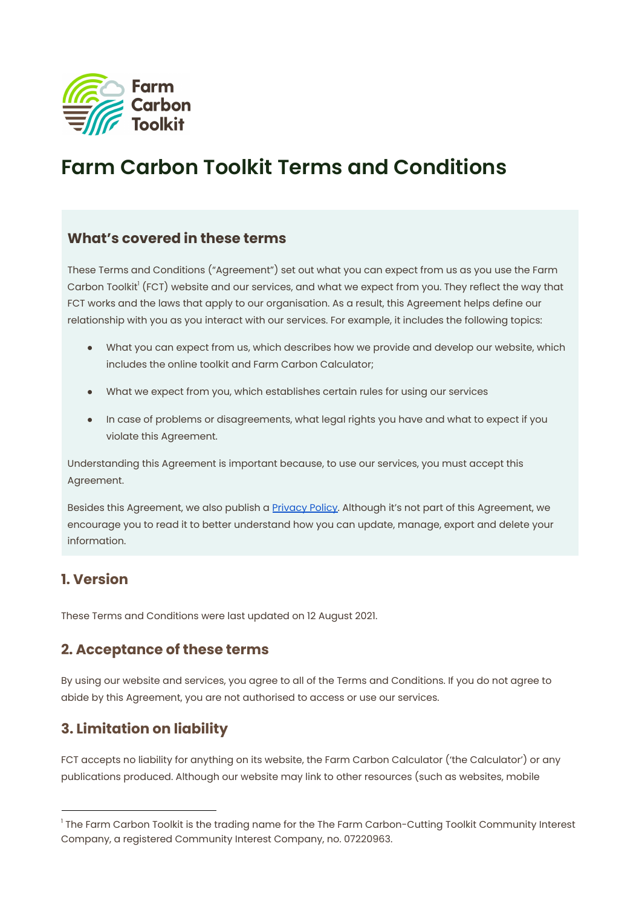

# **Farm Carbon Toolkit Terms and Conditions**

#### **What's covered in these terms**

These Terms and Conditions ("Agreement") set out what you can expect from us as you use the Farm Carbon Toolkit' (FCT) website and our services, and what we expect from you. They reflect the way that FCT works and the laws that apply to our organisation. As a result, this Agreement helps define our relationship with you as you interact with our services. For example, it includes the following topics:

- What you can expect from us, which describes how we provide and develop our website, which includes the online toolkit and Farm Carbon Calculator;
- What we expect from you, which establishes certain rules for using our services
- In case of problems or disagreements, what legal rights you have and what to expect if you violate this Agreement.

Understanding this Agreement is important because, to use our services, you must accept this Agreement.

Besides this Agreement, we also publish a **[Privacy](https://farmcarbontoolkit.org.uk/privacy-policy/) Policy**. Although it's not part of this Agreement, we encourage you to read it to better understand how you can update, manage, export and delete your information.

#### **1. Version**

These Terms and Conditions were last updated on 12 August 2021.

### **2. Acceptance of these terms**

By using our website and services, you agree to all of the Terms and Conditions. If you do not agree to abide by this Agreement, you are not authorised to access or use our services.

# **3. Limitation on liability**

FCT accepts no liability for anything on its website, the Farm Carbon Calculator ('the Calculator') or any publications produced. Although our website may link to other resources (such as websites, mobile

<sup>&</sup>lt;sup>1</sup> The Farm Carbon Toolkit is the trading name for the The Farm Carbon-Cutting Toolkit Community Interest Company, a registered Community Interest Company, no. 07220963.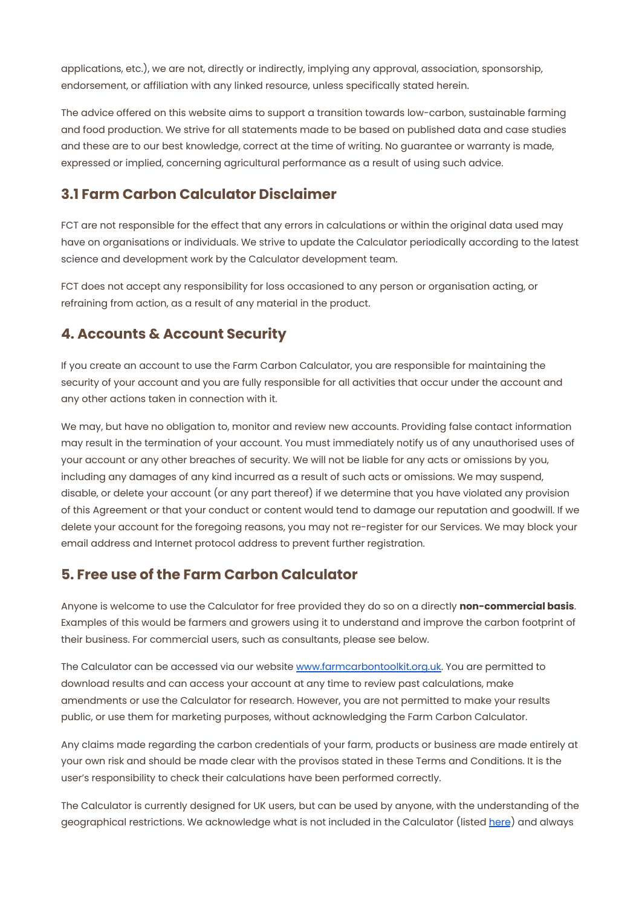applications, etc.), we are not, directly or indirectly, implying any approval, association, sponsorship, endorsement, or affiliation with any linked resource, unless specifically stated herein.

The advice offered on this website aims to support a transition towards low-carbon, sustainable farming and food production. We strive for all statements made to be based on published data and case studies and these are to our best knowledge, correct at the time of writing. No guarantee or warranty is made, expressed or implied, concerning agricultural performance as a result of using such advice.

#### **3.1 Farm Carbon Calculator Disclaimer**

FCT are not responsible for the effect that any errors in calculations or within the original data used may have on organisations or individuals. We strive to update the Calculator periodically according to the latest science and development work by the Calculator development team.

FCT does not accept any responsibility for loss occasioned to any person or organisation acting, or refraining from action, as a result of any material in the product.

#### **4. Accounts & Account Security**

If you create an account to use the Farm Carbon Calculator, you are responsible for maintaining the security of your account and you are fully responsible for all activities that occur under the account and any other actions taken in connection with it.

We may, but have no obligation to, monitor and review new accounts. Providing false contact information may result in the termination of your account. You must immediately notify us of any unauthorised uses of your account or any other breaches of security. We will not be liable for any acts or omissions by you, including any damages of any kind incurred as a result of such acts or omissions. We may suspend, disable, or delete your account (or any part thereof) if we determine that you have violated any provision of this Agreement or that your conduct or content would tend to damage our reputation and goodwill. If we delete your account for the foregoing reasons, you may not re-register for our Services. We may block your email address and Internet protocol address to prevent further registration.

#### **5. Free use of the Farm Carbon Calculator**

Anyone is welcome to use the Calculator for free provided they do so on a directly **non-commercial basis**. Examples of this would be farmers and growers using it to understand and improve the carbon footprint of their business. For commercial users, such as consultants, please see below.

The Calculator can be accessed via our website [www.farmcarbontoolkit.org.uk.](http://www.farmcarbontoolkit.org.uk/) You are permitted to download results and can access your account at any time to review past calculations, make amendments or use the Calculator for research. However, you are not permitted to make your results public, or use them for marketing purposes, without acknowledging the Farm Carbon Calculator.

Any claims made regarding the carbon credentials of your farm, products or business are made entirely at your own risk and should be made clear with the provisos stated in these Terms and Conditions. It is the user's responsibility to check their calculations have been performed correctly.

The Calculator is currently designed for UK users, but can be used by anyone, with the understanding of the geographical restrictions. We acknowledge what is not included in the Calculator (listed [here](https://farmcarbontoolkit.org.uk/carbon-calculator-resources/)) and always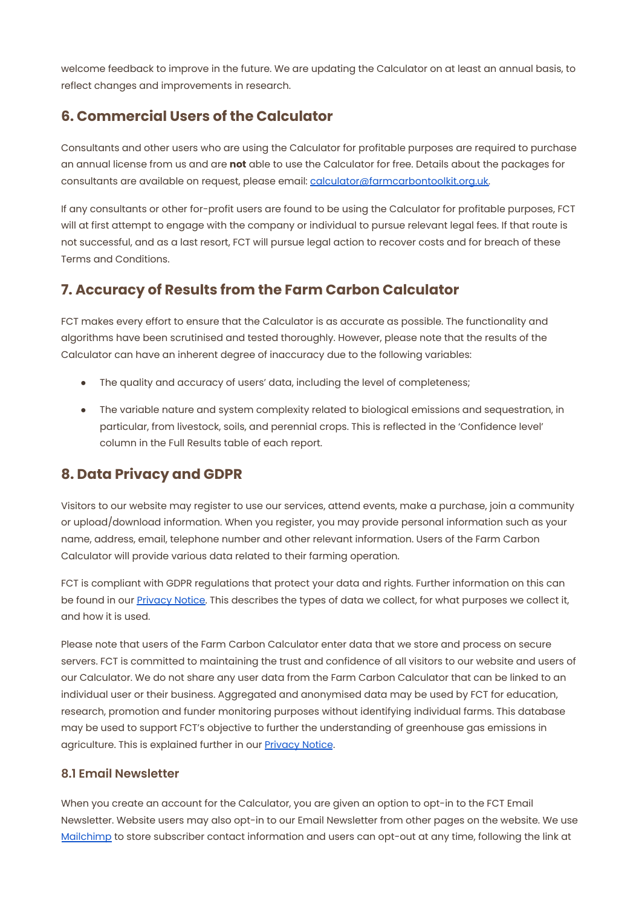welcome feedback to improve in the future. We are updating the Calculator on at least an annual basis, to reflect changes and improvements in research.

#### **6. Commercial Users of the Calculator**

Consultants and other users who are using the Calculator for profitable purposes are required to purchase an annual license from us and are **not** able to use the Calculator for free. Details about the packages for consultants are available on request, please email: [calculator@farmcarbontoolkit.org.uk.](mailto:calculator@farmcarbontoolkit.org.uk)

If any consultants or other for-profit users are found to be using the Calculator for profitable purposes, FCT will at first attempt to engage with the company or individual to pursue relevant legal fees. If that route is not successful, and as a last resort, FCT will pursue legal action to recover costs and for breach of these Terms and Conditions.

#### **7. Accuracy of Results from the Farm Carbon Calculator**

FCT makes every effort to ensure that the Calculator is as accurate as possible. The functionality and algorithms have been scrutinised and tested thoroughly. However, please note that the results of the Calculator can have an inherent degree of inaccuracy due to the following variables:

- The quality and accuracy of users' data, including the level of completeness;
- The variable nature and system complexity related to biological emissions and sequestration, in particular, from livestock, soils, and perennial crops. This is reflected in the 'Confidence level' column in the Full Results table of each report.

#### **8. Data Privacy and GDPR**

Visitors to our website may register to use our services, attend events, make a purchase, join a community or upload/download information. When you register, you may provide personal information such as your name, address, email, telephone number and other relevant information. Users of the Farm Carbon Calculator will provide various data related to their farming operation.

FCT is compliant with GDPR regulations that protect your data and rights. Further information on this can be found in our [Privacy](https://farmcarbontoolkit.org.uk/privacy-policy/) Notice. This describes the types of data we collect, for what purposes we collect it, and how it is used.

Please note that users of the Farm Carbon Calculator enter data that we store and process on secure servers. FCT is committed to maintaining the trust and confidence of all visitors to our website and users of our Calculator. We do not share any user data from the Farm Carbon Calculator that can be linked to an individual user or their business. Aggregated and anonymised data may be used by FCT for education, research, promotion and funder monitoring purposes without identifying individual farms. This database may be used to support FCT's objective to further the understanding of greenhouse gas emissions in agriculture. This is explained further in our [Privacy](https://farmcarbontoolkit.org.uk/privacy-policy/) Notice.

#### **8.1 Email Newsletter**

When you create an account for the Calculator, you are given an option to opt-in to the FCT Email Newsletter. Website users may also opt-in to our Email Newsletter from other pages on the website. We use [Mailchimp](https://mailchimp.com/) to store subscriber contact information and users can opt-out at any time, following the link at